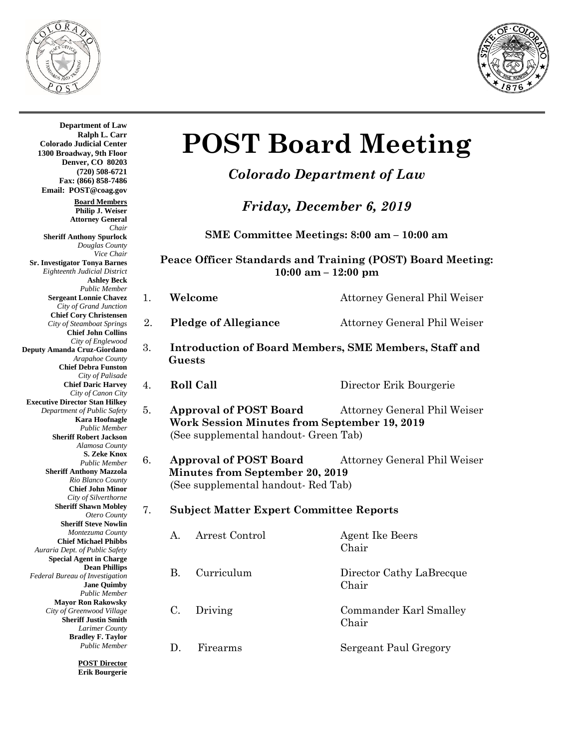



 **Guests Department of Law Ralph L. Carr Colorado Judicial Center 1300 Broadway, 9th Floor Denver, CO 80203 (720) 508-6721 Fax: (866) 858-7486 Email: POST@coag.gov Board Members Philip J. Weiser Attorney General** *Chair* **Sheriff Anthony Spurlock** *Douglas County Vice Chair* **Sr. Investigator Tonya Barnes** *Eighteenth Judicial District* **Ashley Beck** *Public Member* **Sergeant Lonnie Chavez** *City of Grand Junction* **Chief Cory Christensen** *City of Steamboat Springs* **Chief John Collins** *City of Englewood* **Deputy Amanda Cruz-Giordano** *Arapahoe County* **Chief Debra Funston** *City of Palisade* **Chief Daric Harvey** *City of Canon City* **Executive Director Stan Hilkey** *Department of Public Safety* **Kara Hoofnagle** *Public Member* **Sheriff Robert Jackson** *Alamosa County* **S. Zeke Knox** *Public Member* **Sheriff Anthony Mazzola** *Rio Blanco County* **Chief John Minor** *City of Silverthorne* **Sheriff Shawn Mobley** *Otero County* **Sheriff Steve Nowlin** *Montezuma County* **Chief Michael Phibbs** *Auraria Dept. of Public Safety* **Special Agent in Charge Dean Phillips** *Federal Bureau of Investigation* **Jane Quimby** *Public Member* **Mayor Ron Rakowsky** *City of Greenwood Village* **Sheriff Justin Smith** *Larimer County* **Bradley F. Taylor** *Public Member* **POST Director**

**Erik Bourgerie**

# **POST Board Meeting**

## *Colorado Department of Law*

*Friday, December 6, 2019*

**SME Committee Meetings: 8:00 am – 10:00 am**

**Peace Officer Standards and Training (POST) Board Meeting: 10:00 am – 12:00 pm**

- 
- 1. **Welcome** Attorney General Phil Weiser
- 2. **Pledge of Allegiance** Attorney General Phil Weiser
- 3. **Introduction of Board Members, SME Members, Staff and** 
	-

4. **Roll Call** Director Erik Bourgerie

- 5. **Approval of POST Board** Attorney General Phil Weiser **Work Session Minutes from September 19, 2019** (See supplemental handout- Green Tab)
- 6. **Approval of POST Board** Attorney General Phil Weiser  **Minutes from September 20, 2019** (See supplemental handout- Red Tab)

#### 7. **Subject Matter Expert Committee Reports**

A. Arrest Control Agent Ike Beers Chair B. Curriculum Director Cathy LaBrecque Chair C. Driving Commander Karl Smalley Chair D. Firearms Sergeant Paul Gregory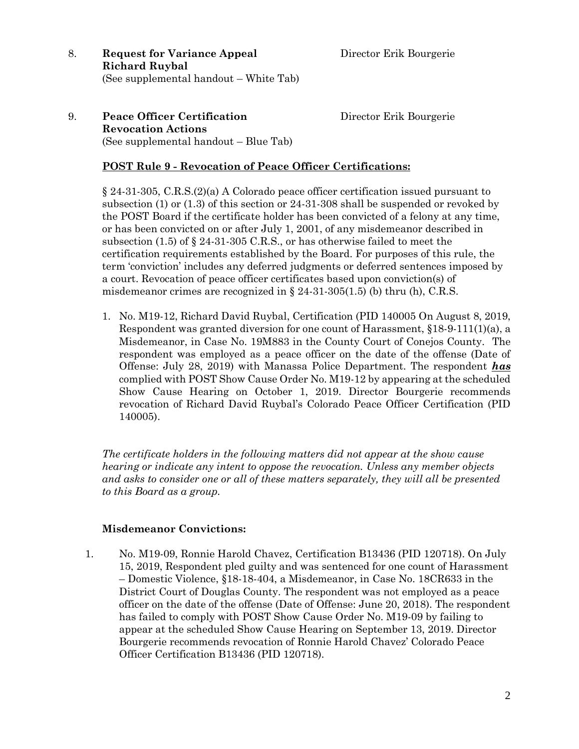- 8. **Request for Variance Appeal** Director Erik Bourgerie **Richard Ruybal** (See supplemental handout – White Tab)
- 9. **Peace Officer Certification** Director Erik Bourgerie **Revocation Actions**  (See supplemental handout – Blue Tab)

#### **POST Rule 9 - Revocation of Peace Officer Certifications:**

§ 24-31-305, C.R.S.(2)(a) A Colorado peace officer certification issued pursuant to subsection (1) or (1.3) of this section or 24-31-308 shall be suspended or revoked by the POST Board if the certificate holder has been convicted of a felony at any time, or has been convicted on or after July 1, 2001, of any misdemeanor described in subsection (1.5) of  $\S$  24-31-305 C.R.S., or has otherwise failed to meet the certification requirements established by the Board. For purposes of this rule, the term 'conviction' includes any deferred judgments or deferred sentences imposed by a court. Revocation of peace officer certificates based upon conviction(s) of misdemeanor crimes are recognized in § 24-31-305(1.5) (b) thru (h), C.R.S.

1. No. M19-12, Richard David Ruybal, Certification (PID 140005 On August 8, 2019, Respondent was granted diversion for one count of Harassment, §18-9-111(1)(a), a Misdemeanor, in Case No. 19M883 in the County Court of Conejos County. The respondent was employed as a peace officer on the date of the offense (Date of Offense: July 28, 2019) with Manassa Police Department. The respondent *has* complied with POST Show Cause Order No. M19-12 by appearing at the scheduled Show Cause Hearing on October 1, 2019. Director Bourgerie recommends revocation of Richard David Ruybal's Colorado Peace Officer Certification (PID 140005).

*The certificate holders in the following matters did not appear at the show cause hearing or indicate any intent to oppose the revocation. Unless any member objects and asks to consider one or all of these matters separately, they will all be presented to this Board as a group.*

#### **Misdemeanor Convictions:**

1. No. M19-09, Ronnie Harold Chavez, Certification B13436 (PID 120718). On July 15, 2019, Respondent pled guilty and was sentenced for one count of Harassment – Domestic Violence, §18-18-404, a Misdemeanor, in Case No. 18CR633 in the District Court of Douglas County. The respondent was not employed as a peace officer on the date of the offense (Date of Offense: June 20, 2018). The respondent has failed to comply with POST Show Cause Order No. M19-09 by failing to appear at the scheduled Show Cause Hearing on September 13, 2019. Director Bourgerie recommends revocation of Ronnie Harold Chavez' Colorado Peace Officer Certification B13436 (PID 120718).